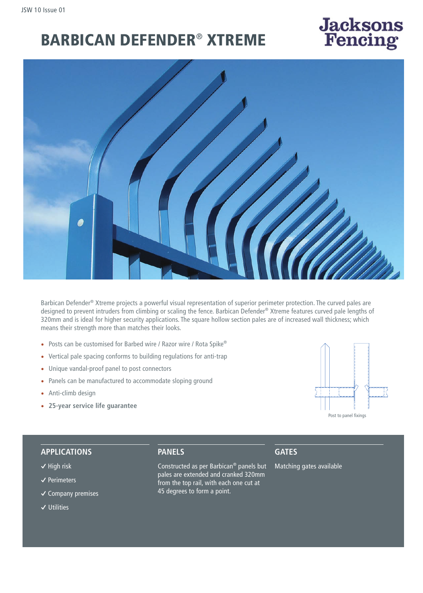# BARBICAN DEFENDER® XTREME



Barbican Defender® Xtreme projects a powerful visual representation of superior perimeter protection. The curved pales are designed to prevent intruders from climbing or scaling the fence. Barbican Defender® Xtreme features curved pale lengths of 320mm and is ideal for higher security applications. The square hollow section pales are of increased wall thickness; which means their strength more than matches their looks.

- Posts can be customised for Barbed wire / Razor wire / Rota Spike®
- Vertical pale spacing conforms to building regulations for anti-trap
- Unique vandal-proof panel to post connectors
- Panels can be manufactured to accommodate sloping ground
- Anti-climb design
- **25-year service life guarantee**



**Jacksons**<br>Fencing

#### **APPLICATIONS**

- **�** High risk
- **�** Perimeters
- **�** Company premises
- **�** Utilities

# **PANELS**

Constructed as per Barbican® panels but pales are extended and cranked 320mm from the top rail, with each one cut at 45 degrees to form a point.

# **GATES**

Matching gates available